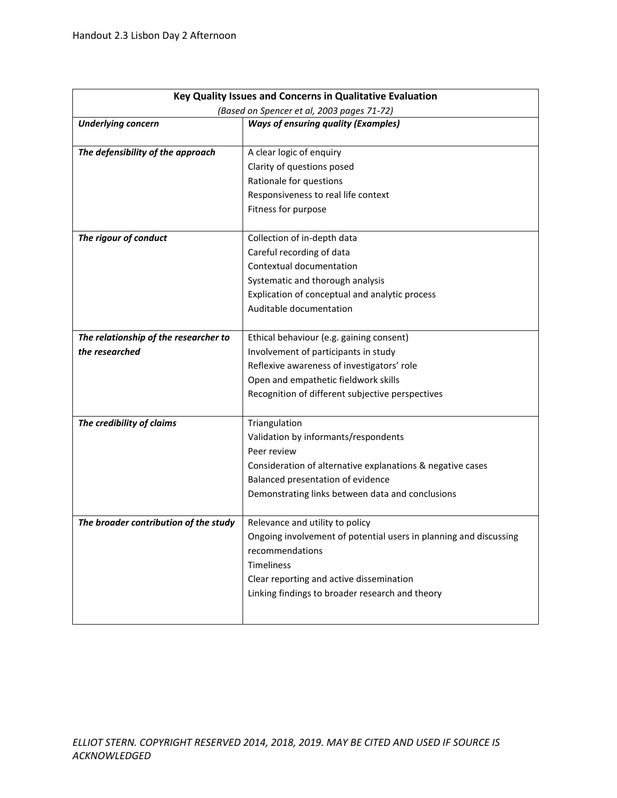| Key Quality Issues and Concerns in Qualitative Evaluation |                                                                   |  |  |  |
|-----------------------------------------------------------|-------------------------------------------------------------------|--|--|--|
| (Based on Spencer et al, 2003 pages 71-72)                |                                                                   |  |  |  |
| <b>Underlying concern</b>                                 | <b>Ways of ensuring quality (Examples)</b>                        |  |  |  |
|                                                           |                                                                   |  |  |  |
| The defensibility of the approach                         | A clear logic of enquiry                                          |  |  |  |
|                                                           | Clarity of questions posed                                        |  |  |  |
|                                                           | Rationale for questions                                           |  |  |  |
|                                                           | Responsiveness to real life context                               |  |  |  |
|                                                           | Fitness for purpose                                               |  |  |  |
| The rigour of conduct                                     | Collection of in-depth data                                       |  |  |  |
|                                                           | Careful recording of data                                         |  |  |  |
|                                                           | Contextual documentation                                          |  |  |  |
|                                                           | Systematic and thorough analysis                                  |  |  |  |
|                                                           | Explication of conceptual and analytic process                    |  |  |  |
|                                                           | Auditable documentation                                           |  |  |  |
|                                                           |                                                                   |  |  |  |
| The relationship of the researcher to                     | Ethical behaviour (e.g. gaining consent)                          |  |  |  |
| the researched                                            | Involvement of participants in study                              |  |  |  |
|                                                           | Reflexive awareness of investigators' role                        |  |  |  |
|                                                           | Open and empathetic fieldwork skills                              |  |  |  |
|                                                           | Recognition of different subjective perspectives                  |  |  |  |
|                                                           |                                                                   |  |  |  |
| The credibility of claims                                 | Triangulation                                                     |  |  |  |
|                                                           | Validation by informants/respondents                              |  |  |  |
|                                                           | Peer review                                                       |  |  |  |
|                                                           | Consideration of alternative explanations & negative cases        |  |  |  |
|                                                           | Balanced presentation of evidence                                 |  |  |  |
|                                                           | Demonstrating links between data and conclusions                  |  |  |  |
|                                                           |                                                                   |  |  |  |
| The broader contribution of the study                     | Relevance and utility to policy                                   |  |  |  |
|                                                           | Ongoing involvement of potential users in planning and discussing |  |  |  |
|                                                           | recommendations                                                   |  |  |  |
|                                                           | Timeliness                                                        |  |  |  |
|                                                           | Clear reporting and active dissemination                          |  |  |  |
|                                                           | Linking findings to broader research and theory                   |  |  |  |
|                                                           |                                                                   |  |  |  |
|                                                           |                                                                   |  |  |  |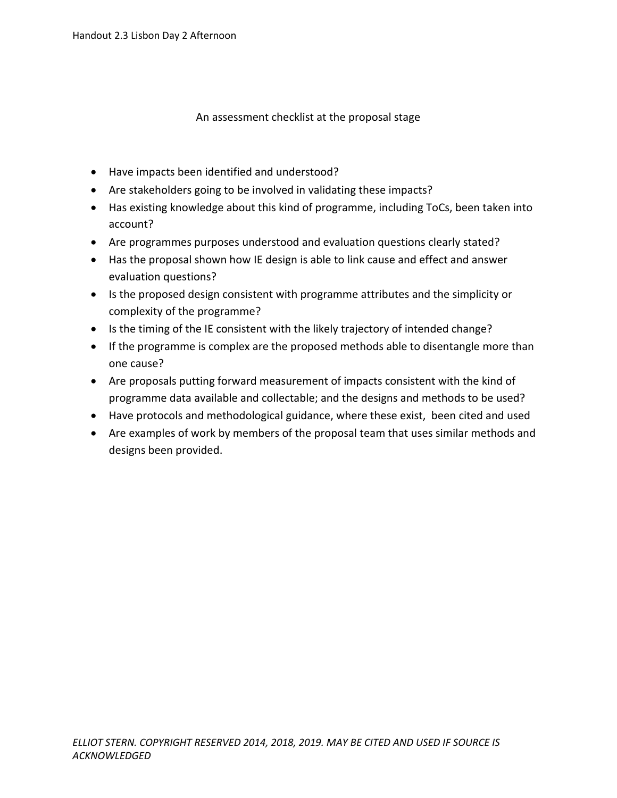## An assessment checklist at the proposal stage

- Have impacts been identified and understood?
- Are stakeholders going to be involved in validating these impacts?
- Has existing knowledge about this kind of programme, including ToCs, been taken into account?
- Are programmes purposes understood and evaluation questions clearly stated?
- Has the proposal shown how IE design is able to link cause and effect and answer evaluation questions?
- Is the proposed design consistent with programme attributes and the simplicity or complexity of the programme?
- Is the timing of the IE consistent with the likely trajectory of intended change?
- If the programme is complex are the proposed methods able to disentangle more than one cause?
- Are proposals putting forward measurement of impacts consistent with the kind of programme data available and collectable; and the designs and methods to be used?
- Have protocols and methodological guidance, where these exist, been cited and used
- Are examples of work by members of the proposal team that uses similar methods and designs been provided.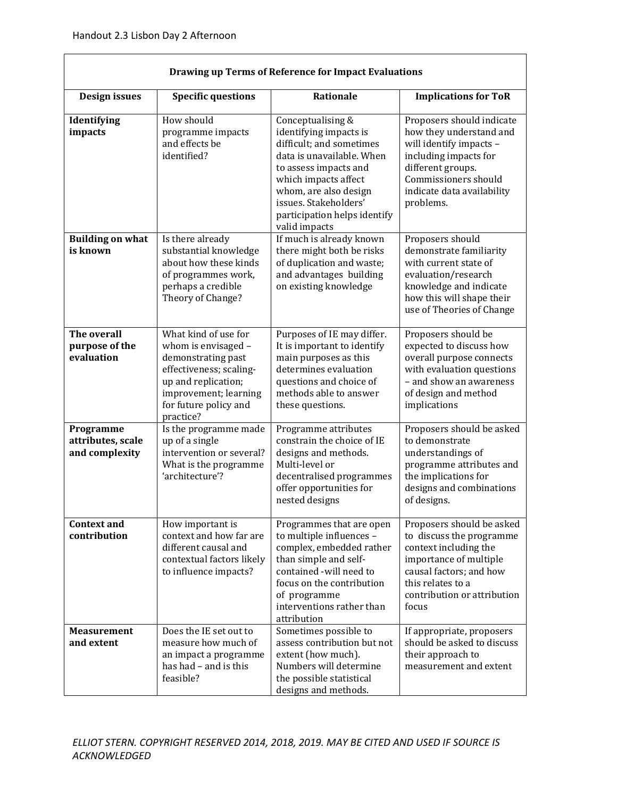| Drawing up Terms of Reference for Impact Evaluations |                                                                                                                                                                                    |                                                                                                                                                                                                                                                          |                                                                                                                                                                                                  |  |  |
|------------------------------------------------------|------------------------------------------------------------------------------------------------------------------------------------------------------------------------------------|----------------------------------------------------------------------------------------------------------------------------------------------------------------------------------------------------------------------------------------------------------|--------------------------------------------------------------------------------------------------------------------------------------------------------------------------------------------------|--|--|
| <b>Design issues</b>                                 | <b>Specific questions</b>                                                                                                                                                          | Rationale                                                                                                                                                                                                                                                | <b>Implications for ToR</b>                                                                                                                                                                      |  |  |
| Identifying<br>impacts                               | How should<br>programme impacts<br>and effects be<br>identified?                                                                                                                   | Conceptualising &<br>identifying impacts is<br>difficult; and sometimes<br>data is unavailable. When<br>to assess impacts and<br>which impacts affect<br>whom, are also design<br>issues. Stakeholders'<br>participation helps identify<br>valid impacts | Proposers should indicate<br>how they understand and<br>will identify impacts -<br>including impacts for<br>different groups.<br>Commissioners should<br>indicate data availability<br>problems. |  |  |
| <b>Building on what</b><br>is known                  | Is there already<br>substantial knowledge<br>about how these kinds<br>of programmes work,<br>perhaps a credible<br>Theory of Change?                                               | If much is already known<br>there might both be risks<br>of duplication and waste;<br>and advantages building<br>on existing knowledge                                                                                                                   | Proposers should<br>demonstrate familiarity<br>with current state of<br>evaluation/research<br>knowledge and indicate<br>how this will shape their<br>use of Theories of Change                  |  |  |
| The overall<br>purpose of the<br>evaluation          | What kind of use for<br>whom is envisaged -<br>demonstrating past<br>effectiveness; scaling-<br>up and replication;<br>improvement; learning<br>for future policy and<br>practice? | Purposes of IE may differ.<br>It is important to identify<br>main purposes as this<br>determines evaluation<br>questions and choice of<br>methods able to answer<br>these questions.                                                                     | Proposers should be<br>expected to discuss how<br>overall purpose connects<br>with evaluation questions<br>- and show an awareness<br>of design and method<br>implications                       |  |  |
| Programme<br>attributes, scale<br>and complexity     | Is the programme made<br>up of a single<br>intervention or several?<br>What is the programme<br>'architecture'?                                                                    | Programme attributes<br>constrain the choice of IE<br>designs and methods.<br>Multi-level or<br>decentralised programmes<br>offer opportunities for<br>nested designs                                                                                    | Proposers should be asked<br>to demonstrate<br>understandings of<br>programme attributes and<br>the implications for<br>designs and combinations<br>of designs.                                  |  |  |
| <b>Context and</b><br>contribution                   | How important is<br>context and how far are<br>different causal and<br>contextual factors likely<br>to influence impacts?                                                          | Programmes that are open<br>to multiple influences -<br>complex, embedded rather<br>than simple and self-<br>contained -will need to<br>focus on the contribution<br>of programme<br>interventions rather than<br>attribution                            | Proposers should be asked<br>to discuss the programme<br>context including the<br>importance of multiple<br>causal factors; and how<br>this relates to a<br>contribution or attribution<br>focus |  |  |
| <b>Measurement</b><br>and extent                     | Does the IE set out to<br>measure how much of<br>an impact a programme<br>has had - and is this<br>feasible?                                                                       | Sometimes possible to<br>assess contribution but not<br>extent (how much).<br>Numbers will determine<br>the possible statistical<br>designs and methods.                                                                                                 | If appropriate, proposers<br>should be asked to discuss<br>their approach to<br>measurement and extent                                                                                           |  |  |

| Drawing up Terms of Reference for Impact Evaluations |  |
|------------------------------------------------------|--|
|------------------------------------------------------|--|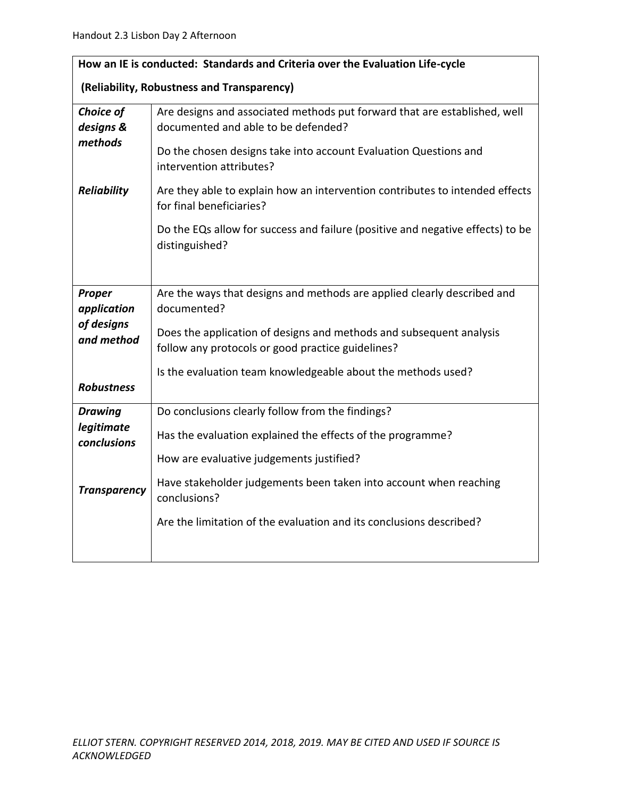| How an IE is conducted: Standards and Criteria over the Evaluation Life-cycle |                                                                                                                          |  |  |  |
|-------------------------------------------------------------------------------|--------------------------------------------------------------------------------------------------------------------------|--|--|--|
| (Reliability, Robustness and Transparency)                                    |                                                                                                                          |  |  |  |
| Choice of<br>designs &                                                        | Are designs and associated methods put forward that are established, well<br>documented and able to be defended?         |  |  |  |
| methods                                                                       | Do the chosen designs take into account Evaluation Questions and<br>intervention attributes?                             |  |  |  |
| <b>Reliability</b>                                                            | Are they able to explain how an intervention contributes to intended effects<br>for final beneficiaries?                 |  |  |  |
|                                                                               | Do the EQs allow for success and failure (positive and negative effects) to be<br>distinguished?                         |  |  |  |
| Proper<br>application                                                         | Are the ways that designs and methods are applied clearly described and<br>documented?                                   |  |  |  |
| of designs<br>and method                                                      | Does the application of designs and methods and subsequent analysis<br>follow any protocols or good practice guidelines? |  |  |  |
| <b>Robustness</b>                                                             | Is the evaluation team knowledgeable about the methods used?                                                             |  |  |  |
| <b>Drawing</b>                                                                | Do conclusions clearly follow from the findings?                                                                         |  |  |  |
| legitimate<br><b>conclusions</b>                                              | Has the evaluation explained the effects of the programme?                                                               |  |  |  |
|                                                                               | How are evaluative judgements justified?                                                                                 |  |  |  |
| <b>Transparency</b>                                                           | Have stakeholder judgements been taken into account when reaching<br>conclusions?                                        |  |  |  |
|                                                                               | Are the limitation of the evaluation and its conclusions described?                                                      |  |  |  |
|                                                                               |                                                                                                                          |  |  |  |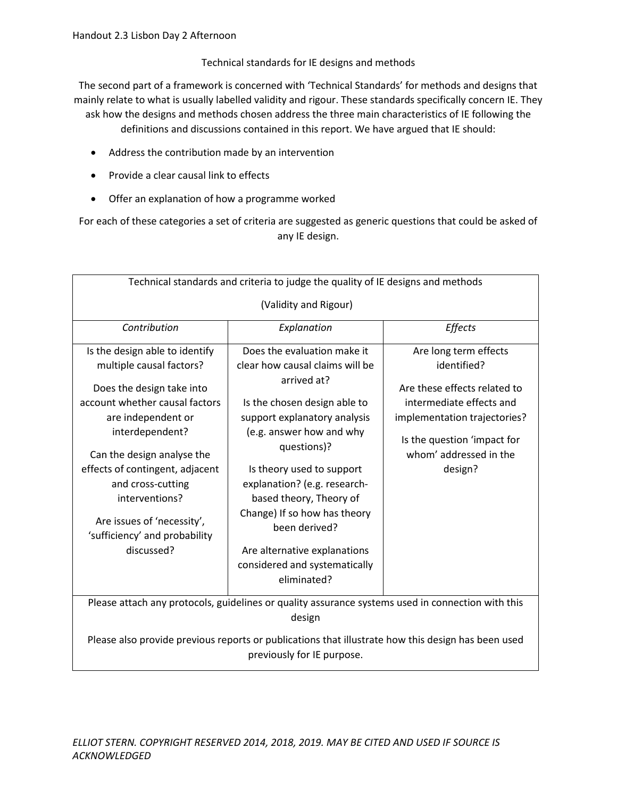Technical standards for IE designs and methods

The second part of a framework is concerned with 'Technical Standards' for methods and designs that mainly relate to what is usually labelled validity and rigour. These standards specifically concern IE. They ask how the designs and methods chosen address the three main characteristics of IE following the

definitions and discussions contained in this report. We have argued that IE should:

- Address the contribution made by an intervention
- Provide a clear causal link to effects
- Offer an explanation of how a programme worked

For each of these categories a set of criteria are suggested as generic questions that could be asked of any IE design.

| Technical standards and criteria to judge the quality of IE designs and methods                                                                                                   |                                                                                                                                                                                                                                      |                                                                                          |  |  |  |
|-----------------------------------------------------------------------------------------------------------------------------------------------------------------------------------|--------------------------------------------------------------------------------------------------------------------------------------------------------------------------------------------------------------------------------------|------------------------------------------------------------------------------------------|--|--|--|
| (Validity and Rigour)                                                                                                                                                             |                                                                                                                                                                                                                                      |                                                                                          |  |  |  |
| Contribution                                                                                                                                                                      | Explanation                                                                                                                                                                                                                          | Effects                                                                                  |  |  |  |
| Is the design able to identify                                                                                                                                                    | Does the evaluation make it                                                                                                                                                                                                          | Are long term effects                                                                    |  |  |  |
| multiple causal factors?                                                                                                                                                          | clear how causal claims will be                                                                                                                                                                                                      | identified?                                                                              |  |  |  |
| Does the design take into<br>account whether causal factors<br>are independent or<br>interdependent?                                                                              | arrived at?<br>Is the chosen design able to<br>support explanatory analysis<br>(e.g. answer how and why                                                                                                                              | Are these effects related to<br>intermediate effects and<br>implementation trajectories? |  |  |  |
| Can the design analyse the<br>effects of contingent, adjacent<br>and cross-cutting<br>interventions?<br>Are issues of 'necessity',<br>'sufficiency' and probability<br>discussed? | questions)?<br>Is theory used to support<br>explanation? (e.g. research-<br>based theory, Theory of<br>Change) If so how has theory<br>heen derived?<br>Are alternative explanations<br>considered and systematically<br>eliminated? | Is the question 'impact for<br>whom' addressed in the<br>design?                         |  |  |  |
| Please attach any protocols, guidelines or quality assurance systems used in connection with this<br>design                                                                       |                                                                                                                                                                                                                                      |                                                                                          |  |  |  |
| Please also provide previous reports or publications that illustrate how this design has been used<br>previously for IE purpose.                                                  |                                                                                                                                                                                                                                      |                                                                                          |  |  |  |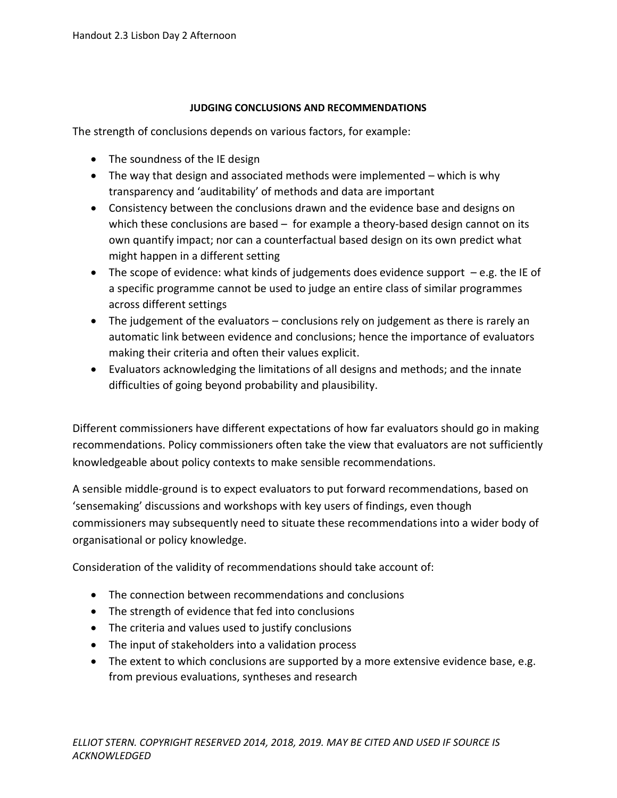## **JUDGING CONCLUSIONS AND RECOMMENDATIONS**

The strength of conclusions depends on various factors, for example:

- The soundness of the IE design
- The way that design and associated methods were implemented which is why transparency and 'auditability' of methods and data are important
- Consistency between the conclusions drawn and the evidence base and designs on which these conclusions are based – for example a theory-based design cannot on its own quantify impact; nor can a counterfactual based design on its own predict what might happen in a different setting
- The scope of evidence: what kinds of judgements does evidence support  $-e.g.$  the IE of a specific programme cannot be used to judge an entire class of similar programmes across different settings
- The judgement of the evaluators conclusions rely on judgement as there is rarely an automatic link between evidence and conclusions; hence the importance of evaluators making their criteria and often their values explicit.
- Evaluators acknowledging the limitations of all designs and methods; and the innate difficulties of going beyond probability and plausibility.

Different commissioners have different expectations of how far evaluators should go in making recommendations. Policy commissioners often take the view that evaluators are not sufficiently knowledgeable about policy contexts to make sensible recommendations.

A sensible middle-ground is to expect evaluators to put forward recommendations, based on 'sensemaking' discussions and workshops with key users of findings, even though commissioners may subsequently need to situate these recommendations into a wider body of organisational or policy knowledge.

Consideration of the validity of recommendations should take account of:

- The connection between recommendations and conclusions
- The strength of evidence that fed into conclusions
- The criteria and values used to justify conclusions
- The input of stakeholders into a validation process
- The extent to which conclusions are supported by a more extensive evidence base, e.g. from previous evaluations, syntheses and research